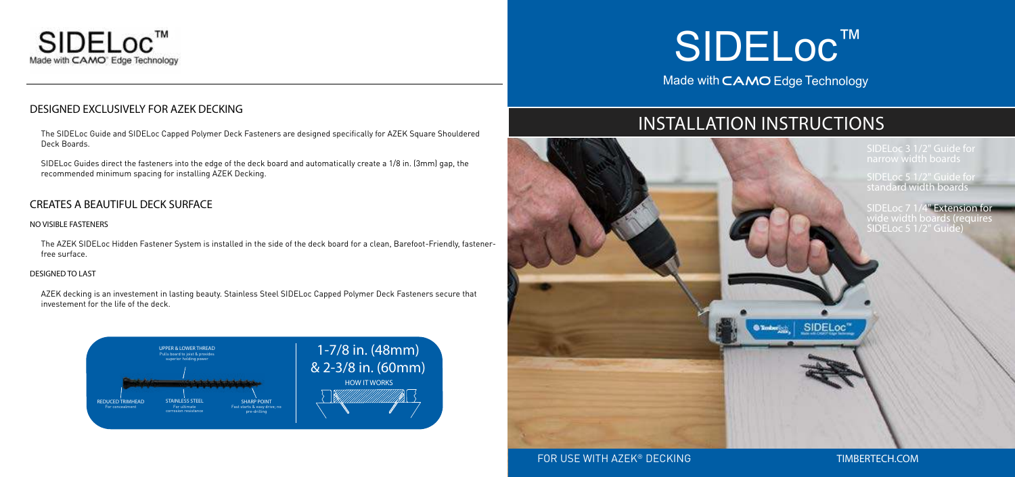

## DESIGNED EXCLUSIVELY FOR AZEK DECKING

The SIDELoc Guide and SIDELoc Capped Polymer Deck Fasteners are designed specifically for AZEK Square Shouldered Deck Boards.

SIDELoc Guides direct the fasteners into the edge of the deck board and automatically create a 1/8 in. (3mm) gap, the recommended minimum spacing for installing AZEK Decking.

# SIDELoc ™ Made with CAMO Edge Technology

## CREATES A BEAUTIFUL DECK SURFACE

#### NO VISIBLE FASTENERS

The AZEK SIDELoc Hidden Fastener System is installed in the side of the deck board for a clean, Barefoot-Friendly, fastenerfree surface.

#### DESIGNED TO LAST

AZEK decking is an investement in lasting beauty. Stainless Steel SIDELoc Capped Polymer Deck Fasteners secure that investement for the life of the deck.

## INSTALLATION INSTRUCTIONS



## FOR USE WITH AZEK® DECKING THE TIMBERTECH.COM



narrow width boards

SIDELoc 5 1/2" Guide for standard width boards

SIDELoc 7 1/4" Extension for wide width boards (requires SIDELoc 5 1/2" Guide)

SIDELoc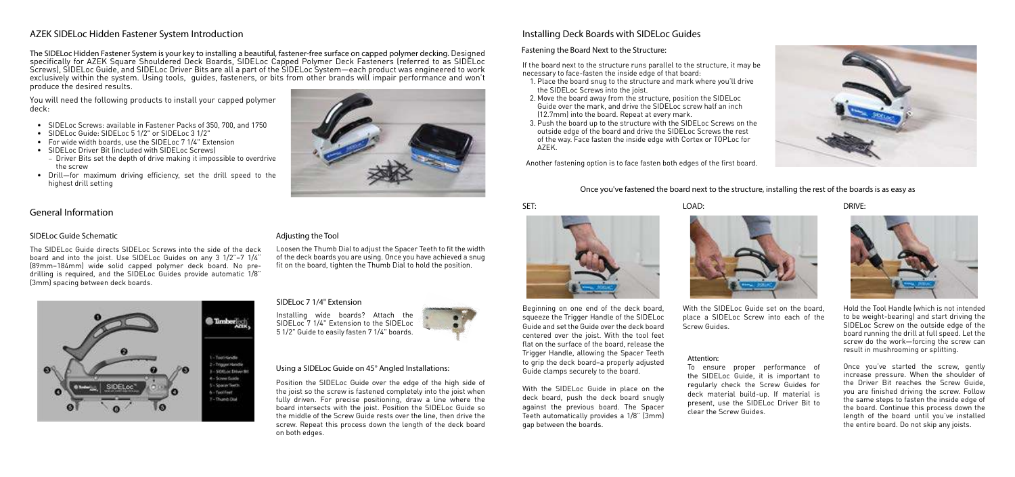#### Attention:

To ensure proper performance of the SIDELoc Guide, it is important to regularly check the Screw Guides for deck material build-up. If material is present, use the SIDELoc Driver Bit to clear the Screw Guides.





The SIDELoc Hidden Fastener System is your key to installing a beautiful, fastener-free surface on capped polymer decking. Designed specifically for AZEK Square Shouldered Deck Boards, SIDELoc Capped Polymer Deck Fasteners (referred to as SIDELoc Screws), SIDELoc Guide, and SIDELoc Driver Bits are all a part of the SIDELoc System—each product was engineered to work exclusively within the system. Using tools, guides, fasteners, or bits from other brands will impair performance and won't produce the desired results.

## AZEK SIDELoc Hidden Fastener System Introduction

## General Information

#### SIDELoc Guide Schematic

The SIDELoc Guide directs SIDELoc Screws into the side of the deck board and into the joist. Use SIDELoc Guides on any 3 1/2"–7 1/4" (89mm–184mm) wide solid capped polymer deck board. No predrilling is required, and the SIDELoc Guides provide automatic 1/8" (3mm) spacing between deck boards.



## Adjusting the Tool

Loosen the Thumb Dial to adjust the Spacer Teeth to fit the width of the deck boards you are using. Once you have achieved a snug fit on the board, tighten the Thumb Dial to hold the position.

#### SIDELoc 7 1/4" Extension

Position the SIDELoc Guide over the edge of the high side of the joist so the screw is fastened completely into the joist when fully driven. For precise positioning, draw a line where the board intersects with the joist. Position the SIDELoc Guide so the middle of the Screw Guide rests over the line, then drive the screw. Repeat this process down the length of the deck board on both edges.

#### Using a SIDELoc Guide on 45° Angled Installations:

## Installing Deck Boards with SIDELoc Guides

If the board next to the structure runs parallel to the structure, it may be necessary to face-fasten the inside edge of that board:

- 1. Place the board snug to the structure and mark where you'll drive the SIDELoc Screws into the joist.
- 2. Move the board away from the structure, position the SIDELoc Guide over the mark, and drive the SIDELoc screw half an inch (12.7mm) into the board. Repeat at every mark.
- 3. Push the board up to the structure with the SIDELoc Screws on the outside edge of the board and drive the SIDELoc Screws the rest of the way. Face fasten the inside edge with Cortex or TOPLoc for AZEK.

Another fastening option is to face fasten both edges of the first board.

#### SET:

Beginning on one end of the deck board, squeeze the Trigger Handle of the SIDELoc Guide and set the Guide over the deck board centered over the joist. With the tool feet flat on the surface of the board, release the Trigger Handle, allowing the Spacer Teeth to grip the deck board–a properly adjusted Guide clamps securely to the board.

With the SIDELoc Guide in place on the deck board, push the deck board snugly against the previous board. The Spacer Teeth automatically provides a 1/8" (3mm) gap between the boards.



LOAD:



With the SIDELoc Guide set on the board, place a SIDELoc Screw into each of the Screw Guides.

Hold the Tool Handle (which is not intended to be weight-bearing) and start driving the SIDELoc Screw on the outside edge of the board running the drill at full speed. Let the screw do the work—forcing the screw can result in mushrooming or splitting.

Once you've started the screw, gently increase pressure. When the shoulder of the Driver Bit reaches the Screw Guide, you are finished driving the screw. Follow the same steps to fasten the inside edge of the board. Continue this process down the length of the board until you've installed the entire board. Do not skip any joists.

#### Fastening the Board Next to the Structure:

DRIVE:



#### Once you've fastened the board next to the structure, installing the rest of the boards is as easy as

You will need the following products to install your capped polymer deck:

- SIDELoc Screws: available in Fastener Packs of 350, 700, and 1750
- SIDELoc Guide: SIDELoc 5 1/2" or SIDELoc 3 1/2"
- For wide width boards, use the SIDELoc 7 1/4" Extension
- SIDELoc Driver Bit (included with SIDELoc Screws)
- Driver Bits set the depth of drive making it impossible to overdrive the screw
- Drill—for maximum driving efficiency, set the drill speed to the highest drill setting

Installing wide boards? Attach the SIDELoc 7 1/4" Extension to the SIDELoc 5 1/2" Guide to easily fasten 7 1/4" boards.

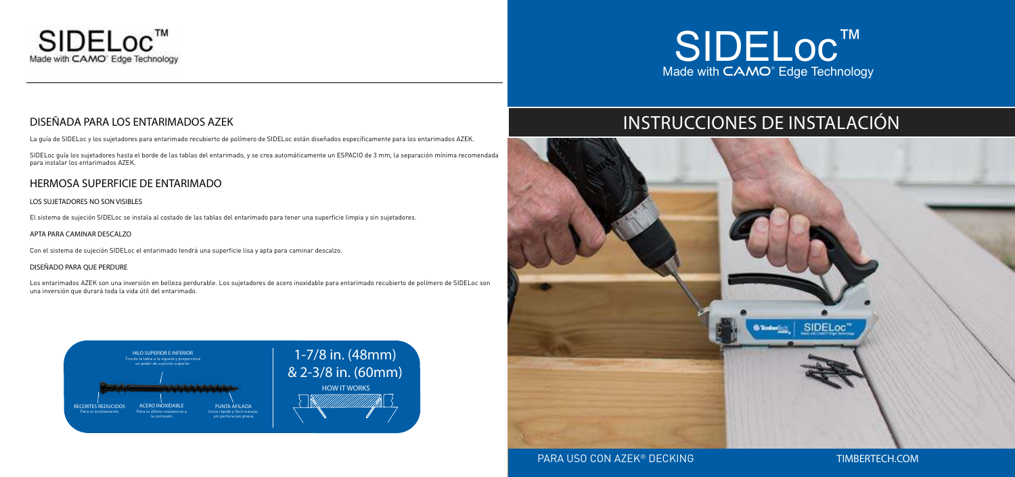

## DISEÑADA PARA LOS ENTARIMADOS AZEK

La guía de SIDELoc y los sujetadores para entarimado recubierto de polímero de SIDELoc están diseñados específicamente para los entarimados AZEK.

SIDELoc guía los sujetadores hasta el borde de las tablas del entarimado, y se crea automáticamente un ESPACIO de 3 mm, la separación mínima recomendada para instalar los entarimados AZEK.

## HERMOSA SUPERFICIE DE ENTARIMADO

#### LOS SUJETADORES NO SON VISIBLES

El sistema de sujeción SIDELoc se instala al costado de las tablas del entarimado para tener una superficie limpia y sin sujetadores.

#### APTA PARA CAMINAR DESCALZO

Con el sistema de sujeción SIDELoc el entarimado tendrá una superficie lisa y apta para caminar descalzo.

#### DISEÑADO PARA QUE PERDURE

Los entarimados AZEK son una inversión en belleza perdurable. Los sujetadores de acero inoxidable para entarimado recubierto de polímero de SIDELoc son una inversión que durará toda la vida útil del entarimado.



## INSTRUCCIONES DE INSTALACIÓN





## PARA USO CON AZEK® DECKING THE TIMBERTECH.COM